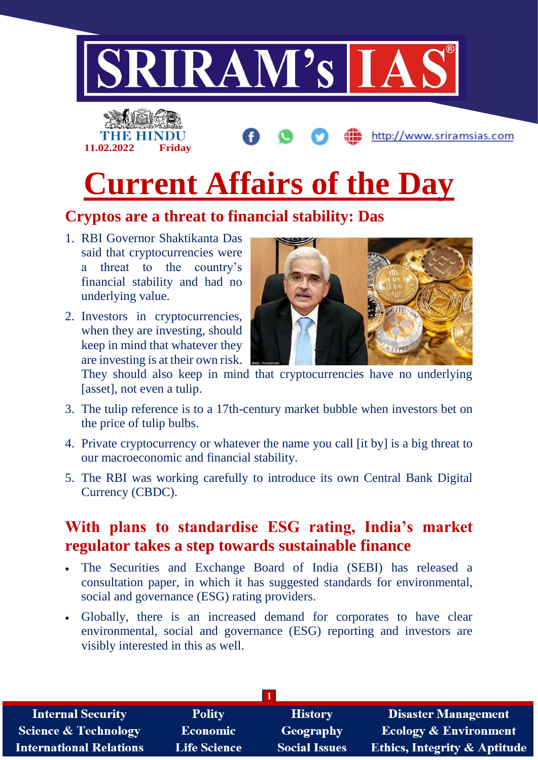

# **Current Affairs of the Day**

## **Cryptos are a threat to financial stability: Das**

- 1. RBI Governor Shaktikanta Das said that cryptocurrencies were a threat to the country's financial stability and had no underlying value.
- 2. Investors in cryptocurrencies, when they are investing, should keep in mind that whatever they are investing is at their own risk.



They should also keep in mind that cryptocurrencies have no underlying [asset], not even a tulip.

- 3. The tulip reference is to a 17th-century market bubble when investors bet on the price of tulip bulbs.
- 4. Private cryptocurrency or whatever the name you call [it by] is a big threat to our macroeconomic and financial stability.
- 5. The RBI was working carefully to introduce its own Central Bank Digital Currency (CBDC).

### **With plans to standardise ESG rating, India's market regulator takes a step towards sustainable finance**

- The Securities and Exchange Board of India (SEBI) has released a consultation paper, in which it has suggested standards for environmental, social and governance (ESG) rating providers.
- Globally, there is an increased demand for corporates to have clear environmental, social and governance (ESG) reporting and investors are visibly interested in this as well.

| <b>Internal Security</b>        | <b>Polity</b>       | <b>History</b>       | <b>Disaster Management</b>              |
|---------------------------------|---------------------|----------------------|-----------------------------------------|
| <b>Science &amp; Technology</b> | <b>Economic</b>     | Geography            | <b>Ecology &amp; Environment</b>        |
| <b>International Relations</b>  | <b>Life Science</b> | <b>Social Issues</b> | <b>Ethics, Integrity &amp; Aptitude</b> |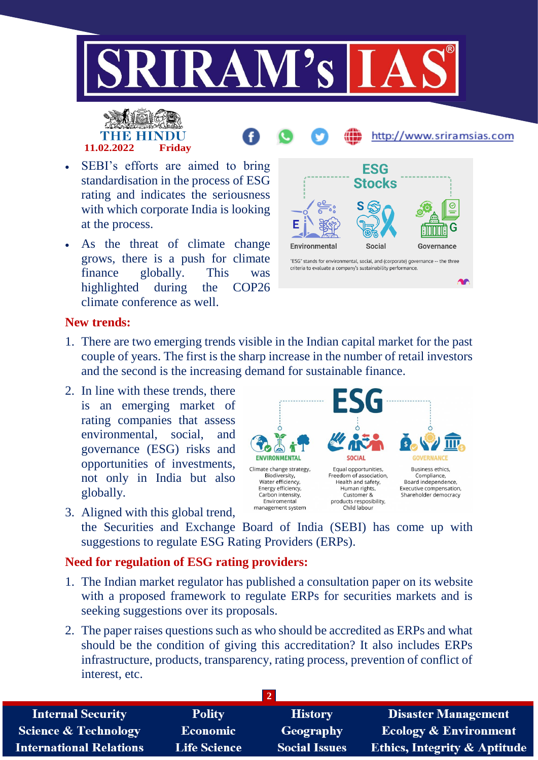

# **11.02.2022 Friday**

- http://www.sriramsias.com SEBI's efforts are aimed to bring **ESG** standardisation in the process of ESG rating and indicates the seriousness S with which corporate India is looking
- As the threat of climate change grows, there is a push for climate finance globally. This was highlighted during the COP26 climate conference as well.



### **New trends:**

at the process.

- 1. There are two emerging trends visible in the Indian capital market for the past couple of years. The first is the sharp increase in the number of retail investors and the second is the increasing demand for sustainable finance.
- 2. In line with these trends, there is an emerging market of rating companies that assess environmental, social, and governance (ESG) risks and opportunities of investments, not only in India but also globally.



3. Aligned with this global trend, the Securities and Exchange Board of India (SEBI) has come up with suggestions to regulate ESG Rating Providers (ERPs).

#### **Need for regulation of ESG rating providers:**

- 1. The Indian market regulator has published a consultation paper on its website with a proposed framework to regulate ERPs for securities markets and is seeking suggestions over its proposals.
- 2. The paper raises questions such as who should be accredited as ERPs and what should be the condition of giving this accreditation? It also includes ERPs infrastructure, products, transparency, rating process, prevention of conflict of interest, etc.

| <b>Internal Security</b>       | <b>Polity</b>       | <b>History</b>       | <b>Disaster Management</b>              |  |  |
|--------------------------------|---------------------|----------------------|-----------------------------------------|--|--|
| Science & Technology           | <b>Economic</b>     | Geography            | <b>Ecology &amp; Environment</b>        |  |  |
| <b>International Relations</b> | <b>Life Science</b> | <b>Social Issues</b> | <b>Ethics, Integrity &amp; Aptitude</b> |  |  |